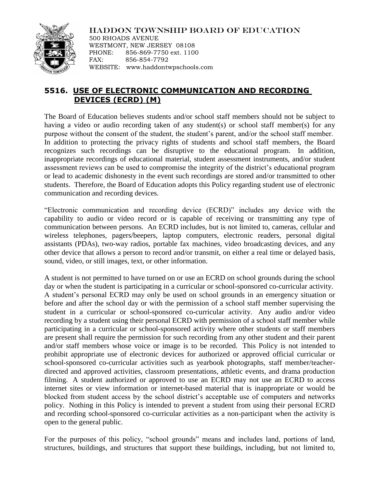## HADDON TOWNSHIP BOARD OF EDUCATION



500 RHOADS AVENUE WESTMONT, NEW JERSEY 08108 PHONE: 856-869-7750 ext. 1100 FAX: 856-854-7792 WEBSITE: www.haddontwpschools.com

## **5516. USE OF ELECTRONIC COMMUNICATION AND RECORDING DEVICES (ECRD) (M)**

The Board of Education believes students and/or school staff members should not be subject to having a video or audio recording taken of any student(s) or school staff member(s) for any purpose without the consent of the student, the student's parent, and/or the school staff member. In addition to protecting the privacy rights of students and school staff members, the Board recognizes such recordings can be disruptive to the educational program. In addition, inappropriate recordings of educational material, student assessment instruments, and/or student assessment reviews can be used to compromise the integrity of the district's educational program or lead to academic dishonesty in the event such recordings are stored and/or transmitted to other students. Therefore, the Board of Education adopts this Policy regarding student use of electronic communication and recording devices.

"Electronic communication and recording device (ECRD)" includes any device with the capability to audio or video record or is capable of receiving or transmitting any type of communication between persons. An ECRD includes, but is not limited to, cameras, cellular and wireless telephones, pagers/beepers, laptop computers, electronic readers, personal digital assistants (PDAs), two-way radios, portable fax machines, video broadcasting devices, and any other device that allows a person to record and/or transmit, on either a real time or delayed basis, sound, video, or still images, text, or other information.

A student is not permitted to have turned on or use an ECRD on school grounds during the school day or when the student is participating in a curricular or school-sponsored co-curricular activity. A student's personal ECRD may only be used on school grounds in an emergency situation or before and after the school day or with the permission of a school staff member supervising the student in a curricular or school-sponsored co-curricular activity. Any audio and/or video recording by a student using their personal ECRD with permission of a school staff member while participating in a curricular or school-sponsored activity where other students or staff members are present shall require the permission for such recording from any other student and their parent and/or staff members whose voice or image is to be recorded. This Policy is not intended to prohibit appropriate use of electronic devices for authorized or approved official curricular or school-sponsored co-curricular activities such as yearbook photographs, staff member/teacherdirected and approved activities, classroom presentations, athletic events, and drama production filming. A student authorized or approved to use an ECRD may not use an ECRD to access internet sites or view information or internet-based material that is inappropriate or would be blocked from student access by the school district's acceptable use of computers and networks policy. Nothing in this Policy is intended to prevent a student from using their personal ECRD and recording school-sponsored co-curricular activities as a non-participant when the activity is open to the general public.

For the purposes of this policy, "school grounds" means and includes land, portions of land, structures, buildings, and structures that support these buildings, including, but not limited to,